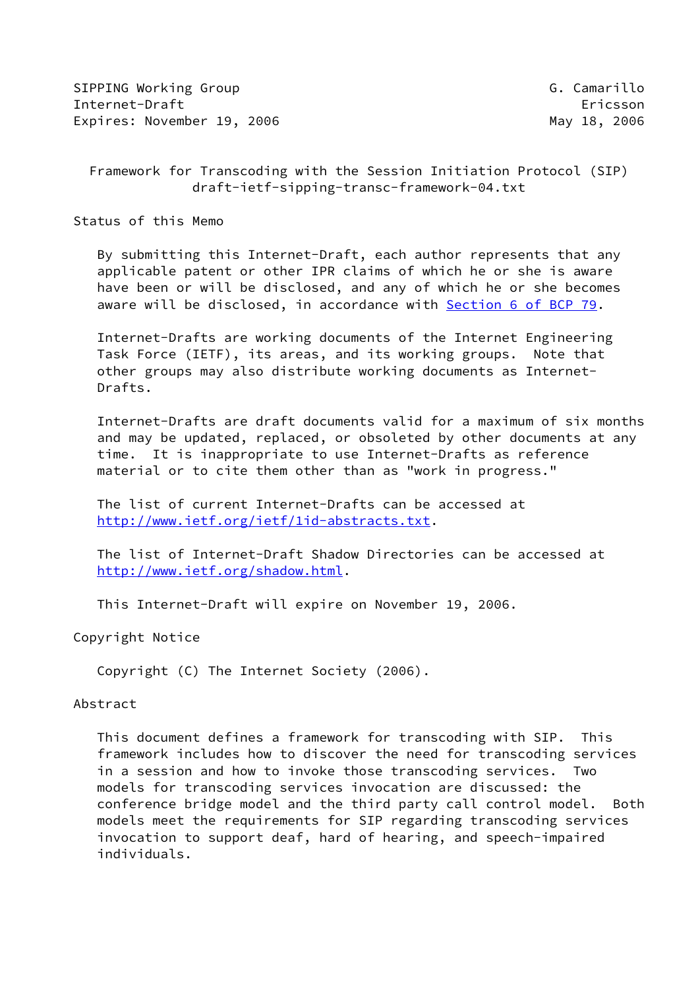SIPPING Working Group G. Camarillo Internet-Draft Ericsson Expires: November 19, 2006 May 18, 2006

 Framework for Transcoding with the Session Initiation Protocol (SIP) draft-ietf-sipping-transc-framework-04.txt

Status of this Memo

 By submitting this Internet-Draft, each author represents that any applicable patent or other IPR claims of which he or she is aware have been or will be disclosed, and any of which he or she becomes aware will be disclosed, in accordance with Section [6 of BCP 79.](https://datatracker.ietf.org/doc/pdf/bcp79#section-6)

 Internet-Drafts are working documents of the Internet Engineering Task Force (IETF), its areas, and its working groups. Note that other groups may also distribute working documents as Internet- Drafts.

 Internet-Drafts are draft documents valid for a maximum of six months and may be updated, replaced, or obsoleted by other documents at any time. It is inappropriate to use Internet-Drafts as reference material or to cite them other than as "work in progress."

 The list of current Internet-Drafts can be accessed at <http://www.ietf.org/ietf/1id-abstracts.txt>.

 The list of Internet-Draft Shadow Directories can be accessed at <http://www.ietf.org/shadow.html>.

This Internet-Draft will expire on November 19, 2006.

Copyright Notice

Copyright (C) The Internet Society (2006).

## Abstract

 This document defines a framework for transcoding with SIP. This framework includes how to discover the need for transcoding services in a session and how to invoke those transcoding services. Two models for transcoding services invocation are discussed: the conference bridge model and the third party call control model. Both models meet the requirements for SIP regarding transcoding services invocation to support deaf, hard of hearing, and speech-impaired individuals.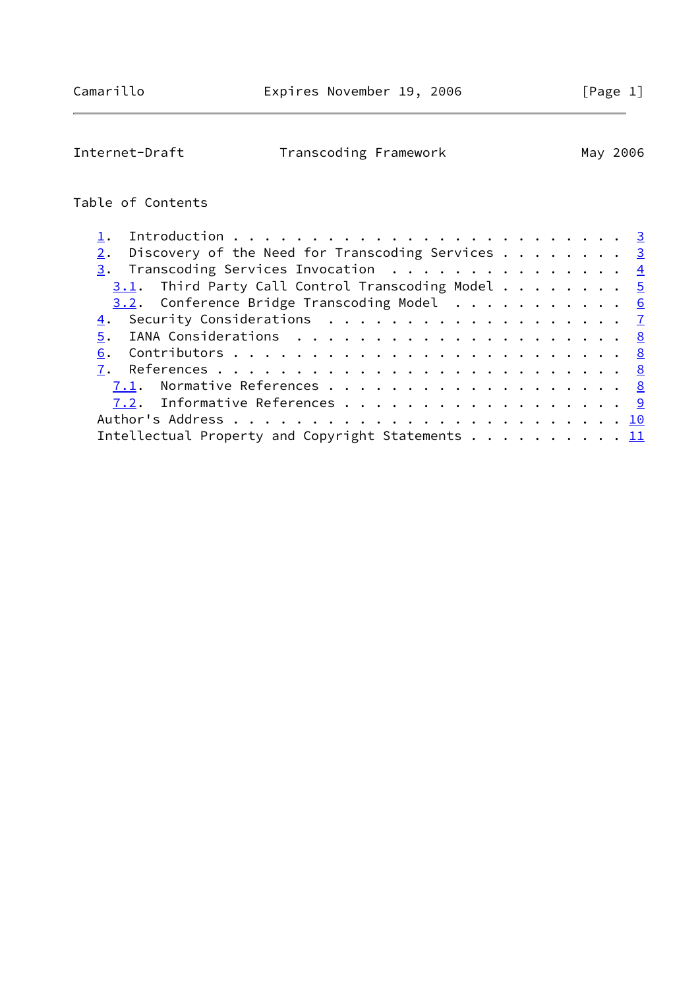| Internet-Draft<br>Transcoding Framework<br>May 2006 |  |
|-----------------------------------------------------|--|
|-----------------------------------------------------|--|

# Table of Contents

| Discovery of the Need for Transcoding Services $\dots \dots$ |  |
|--------------------------------------------------------------|--|
| $\frac{3}{2}$ . Transcoding Services Invocation 4            |  |
| $3.1$ . Third Party Call Control Transcoding Model 5         |  |
| $3.2$ . Conference Bridge Transcoding Model 6                |  |
| 4. Security Considerations 7                                 |  |
|                                                              |  |
|                                                              |  |
|                                                              |  |
|                                                              |  |
| 7.2. Informative References 9                                |  |
|                                                              |  |
| Intellectual Property and Copyright Statements 11            |  |
|                                                              |  |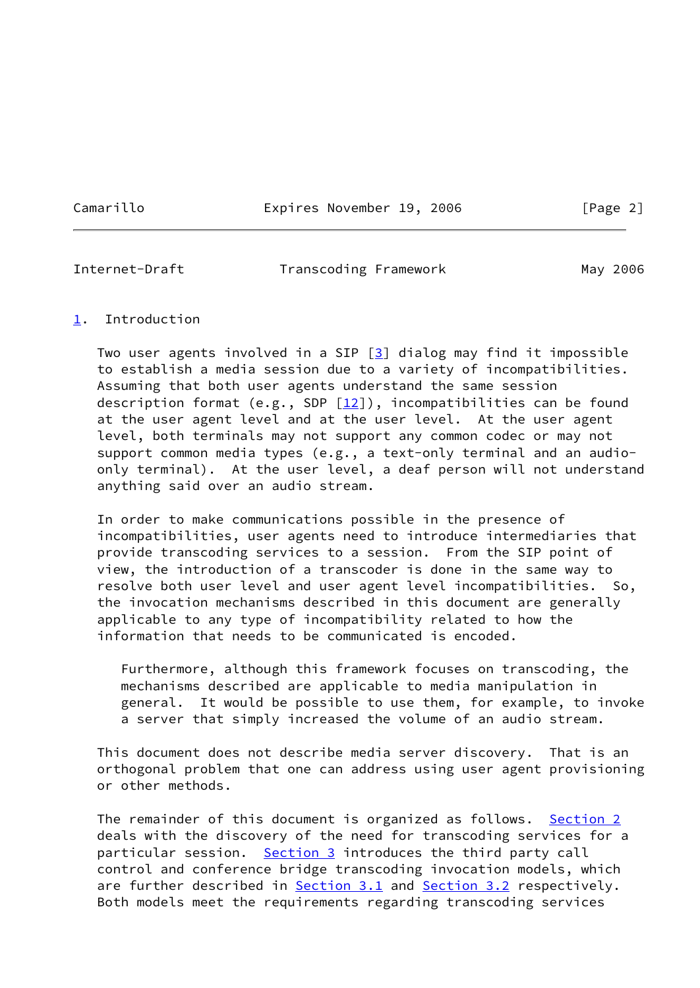Camarillo **Expires November 19, 2006** [Page 2]

<span id="page-2-1"></span>

Internet-Draft Transcoding Framework May 2006

## <span id="page-2-0"></span>[1](#page-2-0). Introduction

Two user agents involved in a SIP  $[3]$  $[3]$  dialog may find it impossible to establish a media session due to a variety of incompatibilities. Assuming that both user agents understand the same session description format (e.g., SDP  $[12]$  $[12]$ ), incompatibilities can be found at the user agent level and at the user level. At the user agent level, both terminals may not support any common codec or may not support common media types (e.g., a text-only terminal and an audio only terminal). At the user level, a deaf person will not understand anything said over an audio stream.

 In order to make communications possible in the presence of incompatibilities, user agents need to introduce intermediaries that provide transcoding services to a session. From the SIP point of view, the introduction of a transcoder is done in the same way to resolve both user level and user agent level incompatibilities. So, the invocation mechanisms described in this document are generally applicable to any type of incompatibility related to how the information that needs to be communicated is encoded.

 Furthermore, although this framework focuses on transcoding, the mechanisms described are applicable to media manipulation in general. It would be possible to use them, for example, to invoke a server that simply increased the volume of an audio stream.

 This document does not describe media server discovery. That is an orthogonal problem that one can address using user agent provisioning or other methods.

 The remainder of this document is organized as follows. [Section 2](#page-3-0) deals with the discovery of the need for transcoding services for a particular session. [Section 3](#page-4-0) introduces the third party call control and conference bridge transcoding invocation models, which are further described in [Section 3.1](#page-4-1) and [Section 3.2](#page-5-0) respectively. Both models meet the requirements regarding transcoding services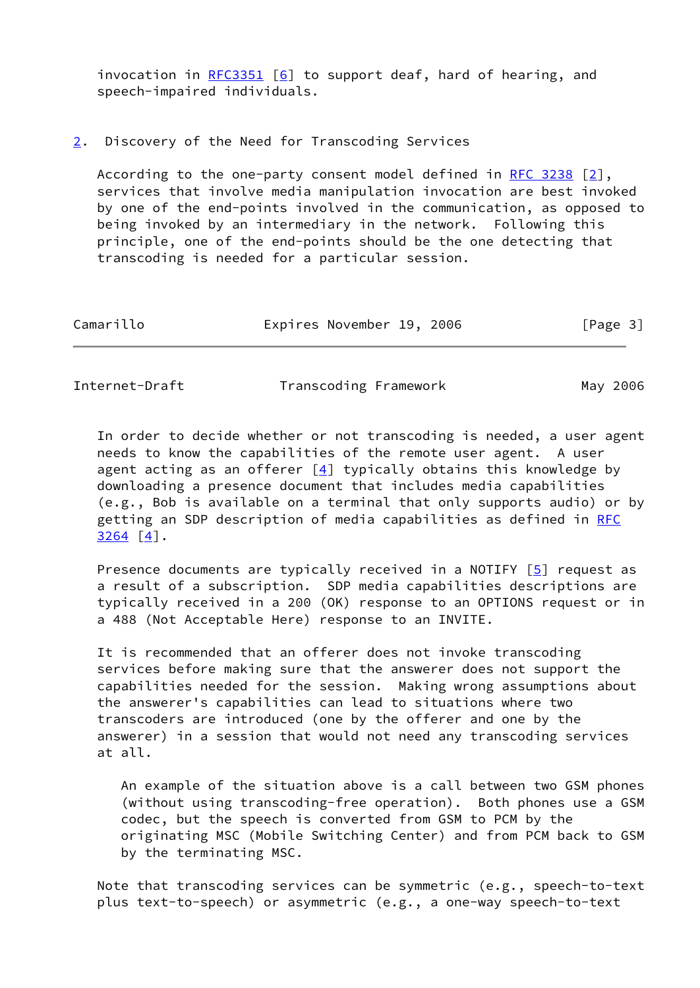invocation in  $RFC3351$  [[6\]](#page-9-3) to support deaf, hard of hearing, and speech-impaired individuals.

#### <span id="page-3-0"></span>[2](#page-3-0). Discovery of the Need for Transcoding Services

 According to the one-party consent model defined in [RFC 3238](https://datatracker.ietf.org/doc/pdf/rfc3238) [\[2\]](#page-8-5), services that involve media manipulation invocation are best invoked by one of the end-points involved in the communication, as opposed to being invoked by an intermediary in the network. Following this principle, one of the end-points should be the one detecting that transcoding is needed for a particular session.

| Camarillo | Expires November 19, 2006 |  | [Page 3] |  |
|-----------|---------------------------|--|----------|--|
|           |                           |  |          |  |

<span id="page-3-1"></span>Internet-Draft Transcoding Framework May 2006

 In order to decide whether or not transcoding is needed, a user agent needs to know the capabilities of the remote user agent. A user agent acting as an offerer  $[4]$  $[4]$  typically obtains this knowledge by downloading a presence document that includes media capabilities (e.g., Bob is available on a terminal that only supports audio) or by getting an SDP description of media capabilities as defined in [RFC](https://datatracker.ietf.org/doc/pdf/rfc3264) [3264](https://datatracker.ietf.org/doc/pdf/rfc3264) [\[4\]](#page-9-4).

Presence documents are typically received in a NOTIFY  $[5]$  $[5]$  request as a result of a subscription. SDP media capabilities descriptions are typically received in a 200 (OK) response to an OPTIONS request or in a 488 (Not Acceptable Here) response to an INVITE.

 It is recommended that an offerer does not invoke transcoding services before making sure that the answerer does not support the capabilities needed for the session. Making wrong assumptions about the answerer's capabilities can lead to situations where two transcoders are introduced (one by the offerer and one by the answerer) in a session that would not need any transcoding services at all.

 An example of the situation above is a call between two GSM phones (without using transcoding-free operation). Both phones use a GSM codec, but the speech is converted from GSM to PCM by the originating MSC (Mobile Switching Center) and from PCM back to GSM by the terminating MSC.

 Note that transcoding services can be symmetric (e.g., speech-to-text plus text-to-speech) or asymmetric (e.g., a one-way speech-to-text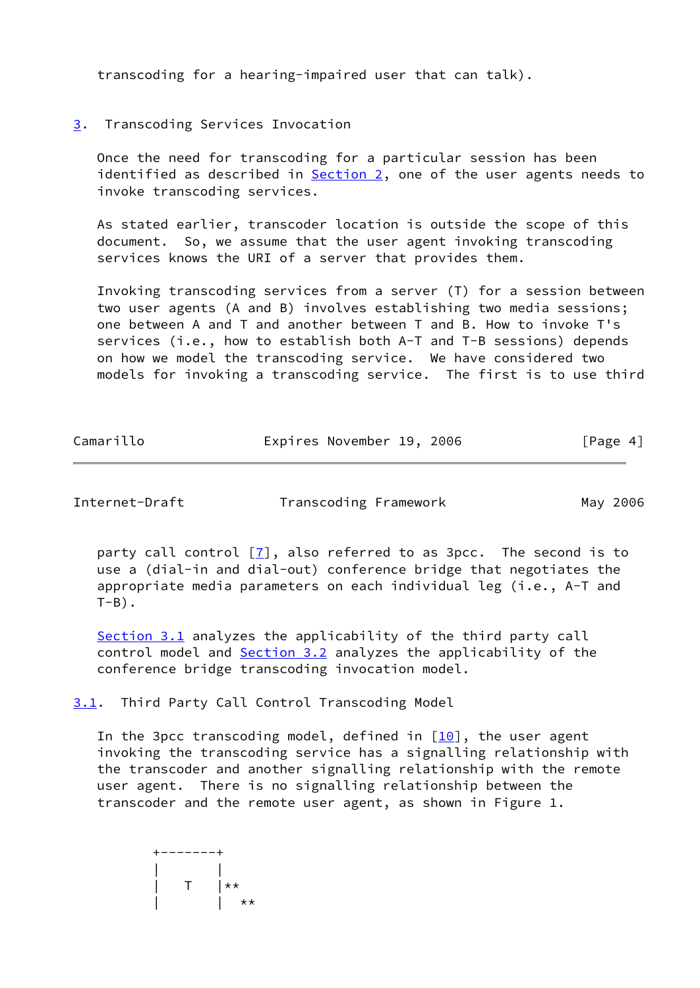transcoding for a hearing-impaired user that can talk).

# <span id="page-4-0"></span>[3](#page-4-0). Transcoding Services Invocation

 Once the need for transcoding for a particular session has been identified as described in  $Section 2$ , one of the user agents needs to invoke transcoding services.

 As stated earlier, transcoder location is outside the scope of this document. So, we assume that the user agent invoking transcoding services knows the URI of a server that provides them.

 Invoking transcoding services from a server (T) for a session between two user agents (A and B) involves establishing two media sessions; one between A and T and another between T and B. How to invoke T's services (i.e., how to establish both A-T and T-B sessions) depends on how we model the transcoding service. We have considered two models for invoking a transcoding service. The first is to use third

| Camarillo | Expires November 19, 2006 |  | [Page 4] |  |
|-----------|---------------------------|--|----------|--|
|           |                           |  |          |  |

<span id="page-4-2"></span>Internet-Draft Transcoding Framework May 2006

party call control  $[7]$  $[7]$ , also referred to as 3pcc. The second is to use a (dial-in and dial-out) conference bridge that negotiates the appropriate media parameters on each individual leg (i.e., A-T and  $T-B$ ).

 [Section 3.1](#page-4-1) analyzes the applicability of the third party call control model and [Section 3.2](#page-5-0) analyzes the applicability of the conference bridge transcoding invocation model.

<span id="page-4-1"></span>[3.1](#page-4-1). Third Party Call Control Transcoding Model

In the 3pcc transcoding model, defined in  $[10]$  $[10]$ , the user agent invoking the transcoding service has a signalling relationship with the transcoder and another signalling relationship with the remote user agent. There is no signalling relationship between the transcoder and the remote user agent, as shown in Figure 1.

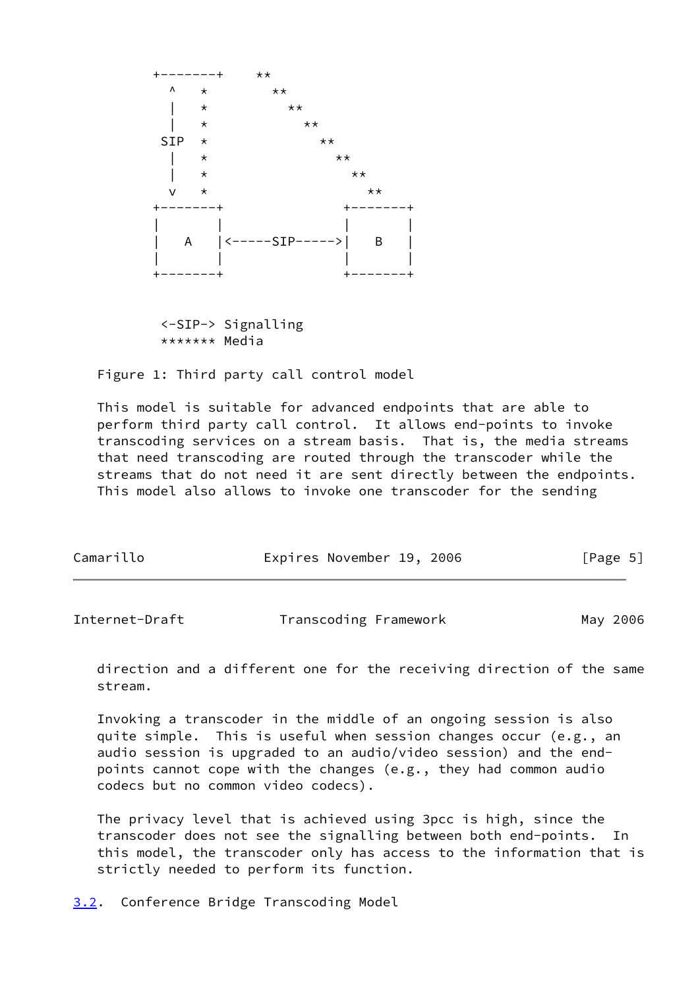

 <-SIP-> Signalling \*\*\*\*\*\*\* Media

Figure 1: Third party call control model

 This model is suitable for advanced endpoints that are able to perform third party call control. It allows end-points to invoke transcoding services on a stream basis. That is, the media streams that need transcoding are routed through the transcoder while the streams that do not need it are sent directly between the endpoints. This model also allows to invoke one transcoder for the sending

| Camarillo | Expires November 19, 2006 | [Page 5] |
|-----------|---------------------------|----------|
|           |                           |          |

<span id="page-5-1"></span>Internet-Draft Transcoding Framework May 2006

 direction and a different one for the receiving direction of the same stream.

 Invoking a transcoder in the middle of an ongoing session is also quite simple. This is useful when session changes occur (e.g., an audio session is upgraded to an audio/video session) and the end points cannot cope with the changes (e.g., they had common audio codecs but no common video codecs).

 The privacy level that is achieved using 3pcc is high, since the transcoder does not see the signalling between both end-points. In this model, the transcoder only has access to the information that is strictly needed to perform its function.

<span id="page-5-0"></span>[3.2](#page-5-0). Conference Bridge Transcoding Model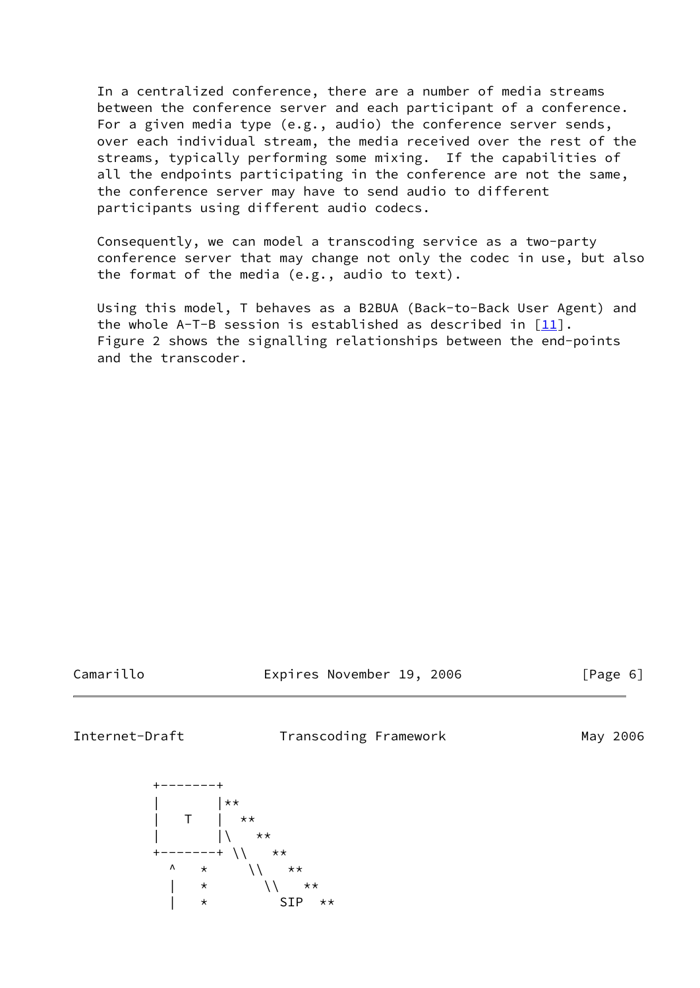In a centralized conference, there are a number of media streams between the conference server and each participant of a conference. For a given media type (e.g., audio) the conference server sends, over each individual stream, the media received over the rest of the streams, typically performing some mixing. If the capabilities of all the endpoints participating in the conference are not the same, the conference server may have to send audio to different participants using different audio codecs.

 Consequently, we can model a transcoding service as a two-party conference server that may change not only the codec in use, but also the format of the media (e.g., audio to text).

 Using this model, T behaves as a B2BUA (Back-to-Back User Agent) and the whole A-T-B session is established as described in  $[11]$  $[11]$ . Figure 2 shows the signalling relationships between the end-points and the transcoder.

Camarillo Expires November 19, 2006 [Page 6]

<span id="page-6-0"></span>

Internet-Draft Transcoding Framework May 2006

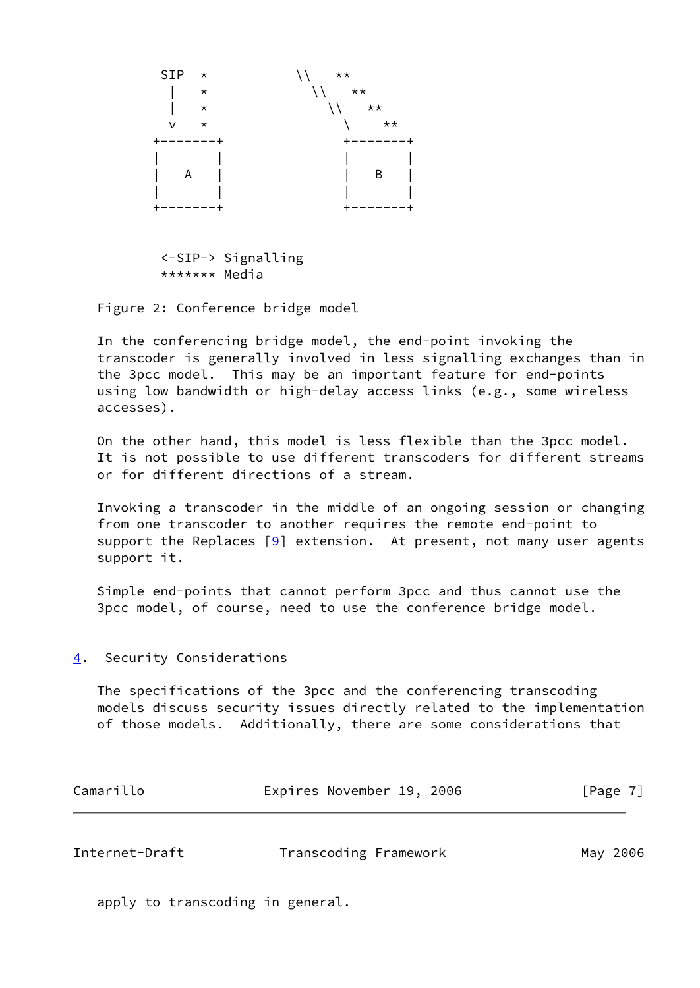

 <-SIP-> Signalling \*\*\*\*\*\*\* Media

Figure 2: Conference bridge model

 In the conferencing bridge model, the end-point invoking the transcoder is generally involved in less signalling exchanges than in the 3pcc model. This may be an important feature for end-points using low bandwidth or high-delay access links (e.g., some wireless accesses).

 On the other hand, this model is less flexible than the 3pcc model. It is not possible to use different transcoders for different streams or for different directions of a stream.

 Invoking a transcoder in the middle of an ongoing session or changing from one transcoder to another requires the remote end-point to support the Replaces  $[9]$  extension. At present, not many user agents support it.

 Simple end-points that cannot perform 3pcc and thus cannot use the 3pcc model, of course, need to use the conference bridge model.

#### <span id="page-7-0"></span>[4](#page-7-0). Security Considerations

 The specifications of the 3pcc and the conferencing transcoding models discuss security issues directly related to the implementation of those models. Additionally, there are some considerations that

| Camarillo | Expires November 19, 2006 |  |  | [Page 7] |
|-----------|---------------------------|--|--|----------|
|-----------|---------------------------|--|--|----------|

<span id="page-7-1"></span>

| Internet-Draft | Transcoding Framework | May 2006 |
|----------------|-----------------------|----------|
|                |                       |          |

apply to transcoding in general.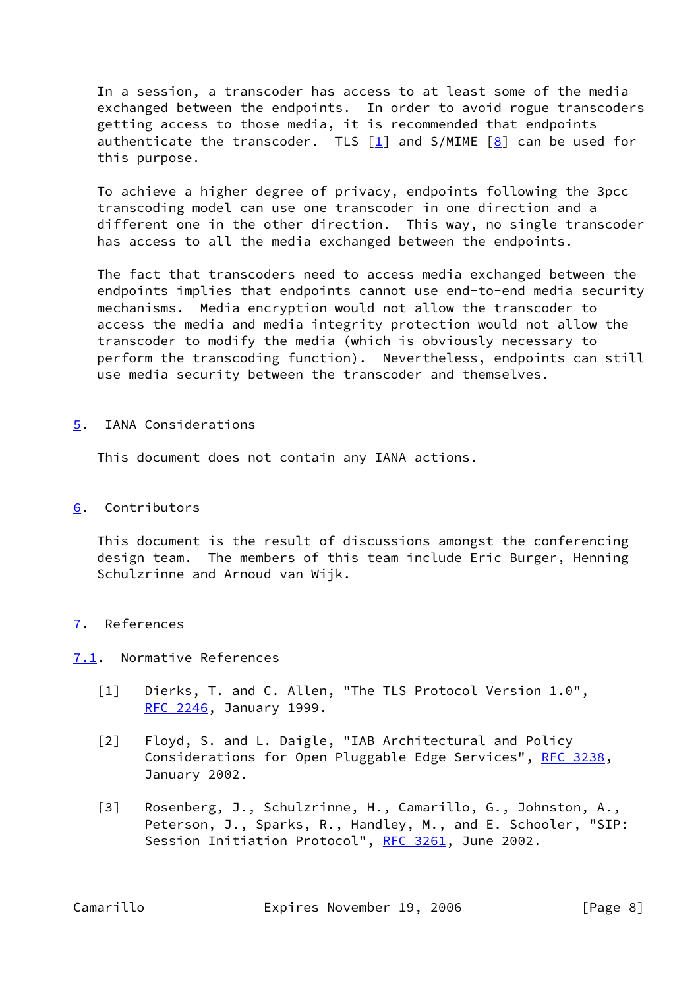In a session, a transcoder has access to at least some of the media exchanged between the endpoints. In order to avoid rogue transcoders getting access to those media, it is recommended that endpoints authenticate the transcoder. TLS  $[1]$  $[1]$  and S/MIME  $[8]$  can be used for this purpose.

 To achieve a higher degree of privacy, endpoints following the 3pcc transcoding model can use one transcoder in one direction and a different one in the other direction. This way, no single transcoder has access to all the media exchanged between the endpoints.

 The fact that transcoders need to access media exchanged between the endpoints implies that endpoints cannot use end-to-end media security mechanisms. Media encryption would not allow the transcoder to access the media and media integrity protection would not allow the transcoder to modify the media (which is obviously necessary to perform the transcoding function). Nevertheless, endpoints can still use media security between the transcoder and themselves.

<span id="page-8-0"></span>[5](#page-8-0). IANA Considerations

This document does not contain any IANA actions.

# <span id="page-8-1"></span>[6](#page-8-1). Contributors

 This document is the result of discussions amongst the conferencing design team. The members of this team include Eric Burger, Henning Schulzrinne and Arnoud van Wijk.

# <span id="page-8-2"></span>[7](#page-8-2). References

# <span id="page-8-3"></span>[7.1](#page-8-3). Normative References

- <span id="page-8-6"></span> [1] Dierks, T. and C. Allen, "The TLS Protocol Version 1.0", [RFC 2246](https://datatracker.ietf.org/doc/pdf/rfc2246), January 1999.
- <span id="page-8-5"></span> [2] Floyd, S. and L. Daigle, "IAB Architectural and Policy Considerations for Open Pluggable Edge Services", [RFC 3238](https://datatracker.ietf.org/doc/pdf/rfc3238), January 2002.
- <span id="page-8-4"></span> [3] Rosenberg, J., Schulzrinne, H., Camarillo, G., Johnston, A., Peterson, J., Sparks, R., Handley, M., and E. Schooler, "SIP: Session Initiation Protocol", [RFC 3261,](https://datatracker.ietf.org/doc/pdf/rfc3261) June 2002.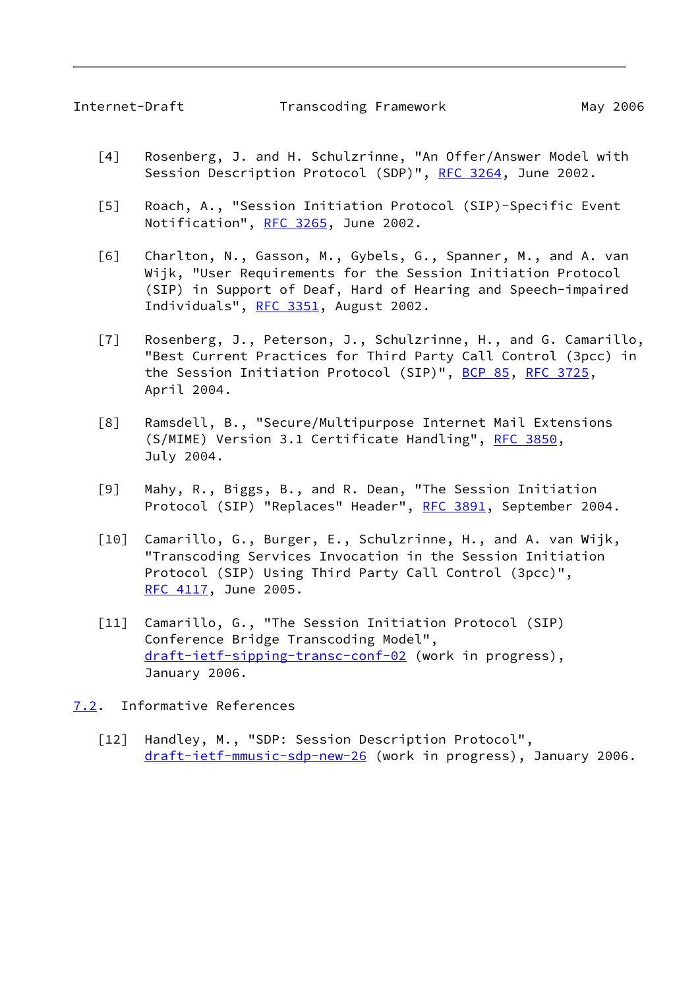- <span id="page-9-4"></span><span id="page-9-1"></span> [4] Rosenberg, J. and H. Schulzrinne, "An Offer/Answer Model with Session Description Protocol (SDP)", [RFC 3264,](https://datatracker.ietf.org/doc/pdf/rfc3264) June 2002.
- <span id="page-9-5"></span> [5] Roach, A., "Session Initiation Protocol (SIP)-Specific Event Notification", [RFC 3265](https://datatracker.ietf.org/doc/pdf/rfc3265), June 2002.
- <span id="page-9-3"></span> [6] Charlton, N., Gasson, M., Gybels, G., Spanner, M., and A. van Wijk, "User Requirements for the Session Initiation Protocol (SIP) in Support of Deaf, Hard of Hearing and Speech-impaired Individuals", [RFC 3351,](https://datatracker.ietf.org/doc/pdf/rfc3351) August 2002.
- <span id="page-9-6"></span> [7] Rosenberg, J., Peterson, J., Schulzrinne, H., and G. Camarillo, "Best Current Practices for Third Party Call Control (3pcc) in the Session Initiation Protocol (SIP)", [BCP 85](https://datatracker.ietf.org/doc/pdf/bcp85), [RFC 3725](https://datatracker.ietf.org/doc/pdf/rfc3725), April 2004.
- <span id="page-9-10"></span> [8] Ramsdell, B., "Secure/Multipurpose Internet Mail Extensions (S/MIME) Version 3.1 Certificate Handling", [RFC 3850](https://datatracker.ietf.org/doc/pdf/rfc3850), July 2004.
- <span id="page-9-9"></span> [9] Mahy, R., Biggs, B., and R. Dean, "The Session Initiation Protocol (SIP) "Replaces" Header", [RFC 3891](https://datatracker.ietf.org/doc/pdf/rfc3891), September 2004.
- <span id="page-9-7"></span> [10] Camarillo, G., Burger, E., Schulzrinne, H., and A. van Wijk, "Transcoding Services Invocation in the Session Initiation Protocol (SIP) Using Third Party Call Control (3pcc)", [RFC 4117](https://datatracker.ietf.org/doc/pdf/rfc4117), June 2005.
- <span id="page-9-8"></span> [11] Camarillo, G., "The Session Initiation Protocol (SIP) Conference Bridge Transcoding Model", [draft-ietf-sipping-transc-conf-02](https://datatracker.ietf.org/doc/pdf/draft-ietf-sipping-transc-conf-02) (work in progress), January 2006.
- <span id="page-9-2"></span><span id="page-9-0"></span>[7.2](#page-9-0). Informative References
	- [12] Handley, M., "SDP: Session Description Protocol", [draft-ietf-mmusic-sdp-new-26](https://datatracker.ietf.org/doc/pdf/draft-ietf-mmusic-sdp-new-26) (work in progress), January 2006.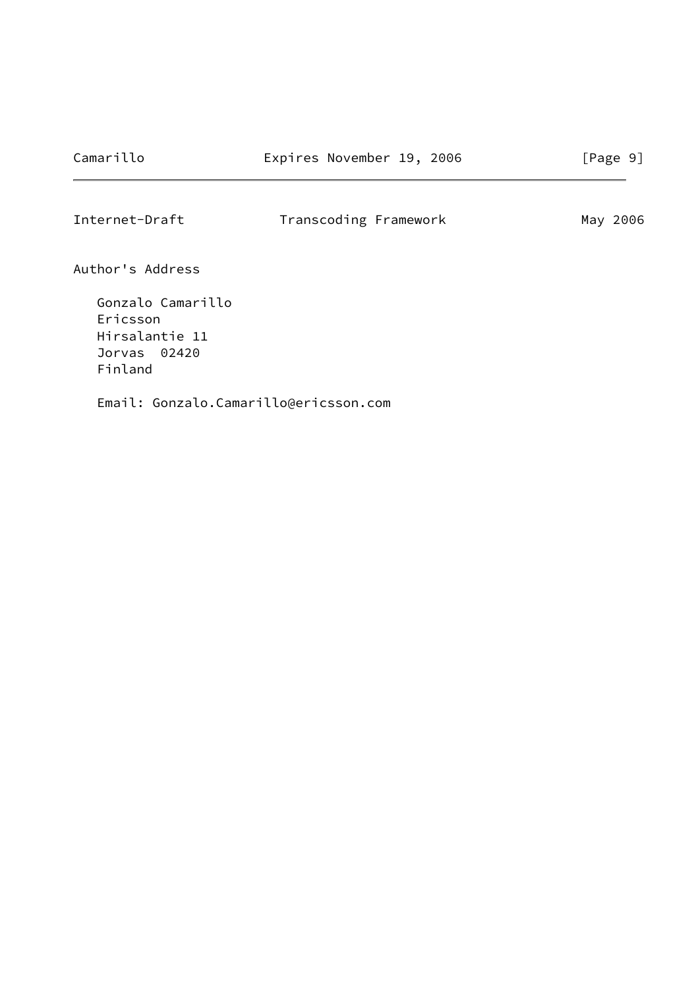<span id="page-10-0"></span>Internet-Draft Transcoding Framework May 2006

Author's Address

 Gonzalo Camarillo Ericsson Hirsalantie 11 Jorvas 02420 Finland

Email: Gonzalo.Camarillo@ericsson.com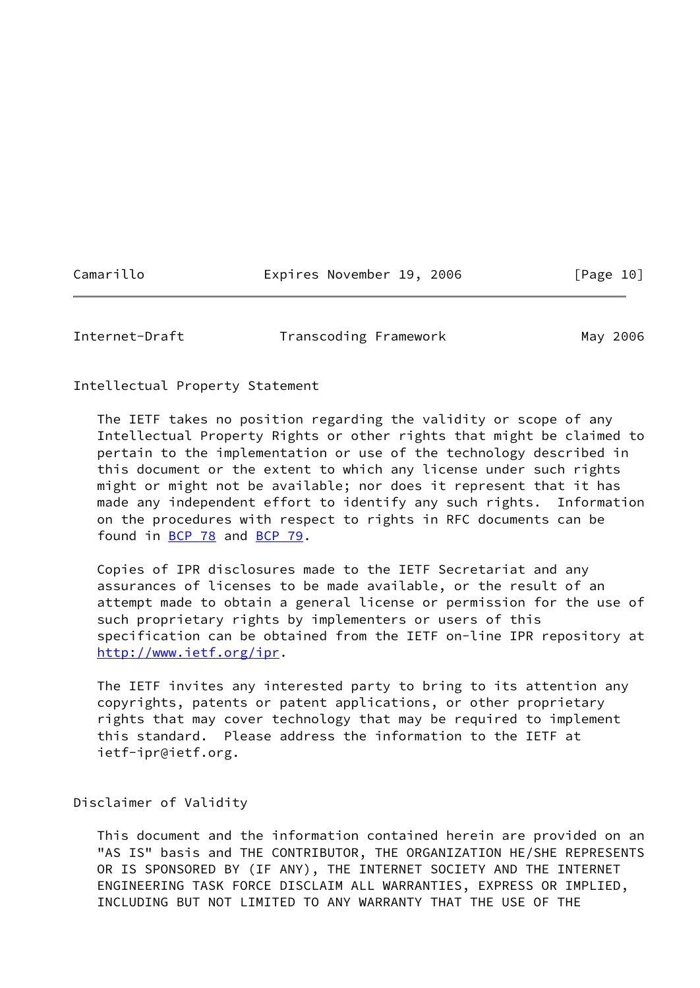Camarillo **Expires November 19, 2006** [Page 10]

<span id="page-11-0"></span>Internet-Draft Transcoding Framework May 2006

Intellectual Property Statement

 The IETF takes no position regarding the validity or scope of any Intellectual Property Rights or other rights that might be claimed to pertain to the implementation or use of the technology described in this document or the extent to which any license under such rights might or might not be available; nor does it represent that it has made any independent effort to identify any such rights. Information on the procedures with respect to rights in RFC documents can be found in [BCP 78](https://datatracker.ietf.org/doc/pdf/bcp78) and [BCP 79](https://datatracker.ietf.org/doc/pdf/bcp79).

 Copies of IPR disclosures made to the IETF Secretariat and any assurances of licenses to be made available, or the result of an attempt made to obtain a general license or permission for the use of such proprietary rights by implementers or users of this specification can be obtained from the IETF on-line IPR repository at <http://www.ietf.org/ipr>.

 The IETF invites any interested party to bring to its attention any copyrights, patents or patent applications, or other proprietary rights that may cover technology that may be required to implement this standard. Please address the information to the IETF at ietf-ipr@ietf.org.

Disclaimer of Validity

 This document and the information contained herein are provided on an "AS IS" basis and THE CONTRIBUTOR, THE ORGANIZATION HE/SHE REPRESENTS OR IS SPONSORED BY (IF ANY), THE INTERNET SOCIETY AND THE INTERNET ENGINEERING TASK FORCE DISCLAIM ALL WARRANTIES, EXPRESS OR IMPLIED, INCLUDING BUT NOT LIMITED TO ANY WARRANTY THAT THE USE OF THE